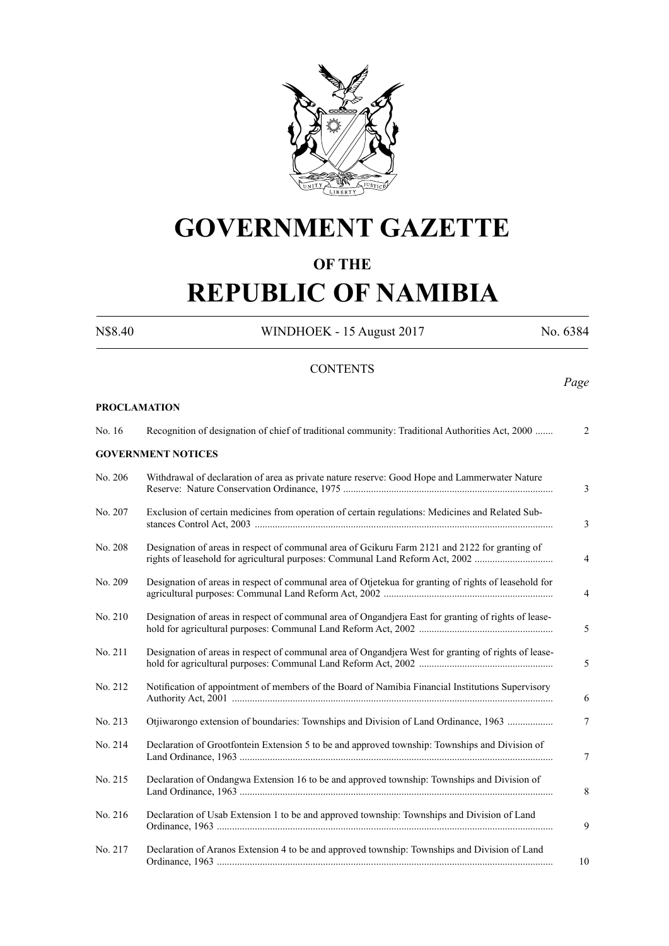

# **GOVERNMENT GAZETTE**

# **OF THE**

# **REPUBLIC OF NAMIBIA**

**PROCLAMATION**

N\$8.40 WINDHOEK - 15 August 2017 No. 6384

# **CONTENTS**

*Page*

| No. 16  | Recognition of designation of chief of traditional community: Traditional Authorities Act, 2000                                                                                 |
|---------|---------------------------------------------------------------------------------------------------------------------------------------------------------------------------------|
|         | <b>GOVERNMENT NOTICES</b>                                                                                                                                                       |
| No. 206 | Withdrawal of declaration of area as private nature reserve: Good Hope and Lammerwater Nature                                                                                   |
| No. 207 | Exclusion of certain medicines from operation of certain regulations: Medicines and Related Sub-                                                                                |
| No. 208 | Designation of areas in respect of communal area of Gcikuru Farm 2121 and 2122 for granting of<br>rights of leasehold for agricultural purposes: Communal Land Reform Act, 2002 |
| No. 209 | Designation of areas in respect of communal area of Otjetekua for granting of rights of leasehold for                                                                           |
| No. 210 | Designation of areas in respect of communal area of Ongandjera East for granting of rights of lease-                                                                            |
| No. 211 | Designation of areas in respect of communal area of Ongandjera West for granting of rights of lease-                                                                            |
| No. 212 | Notification of appointment of members of the Board of Namibia Financial Institutions Supervisory                                                                               |
| No. 213 | Otjiwarongo extension of boundaries: Townships and Division of Land Ordinance, 1963                                                                                             |
| No. 214 | Declaration of Grootfontein Extension 5 to be and approved township: Townships and Division of                                                                                  |
| No. 215 | Declaration of Ondangwa Extension 16 to be and approved township: Townships and Division of                                                                                     |
| No. 216 | Declaration of Usab Extension 1 to be and approved township: Townships and Division of Land                                                                                     |
| No. 217 | Declaration of Aranos Extension 4 to be and approved township: Townships and Division of Land<br>10                                                                             |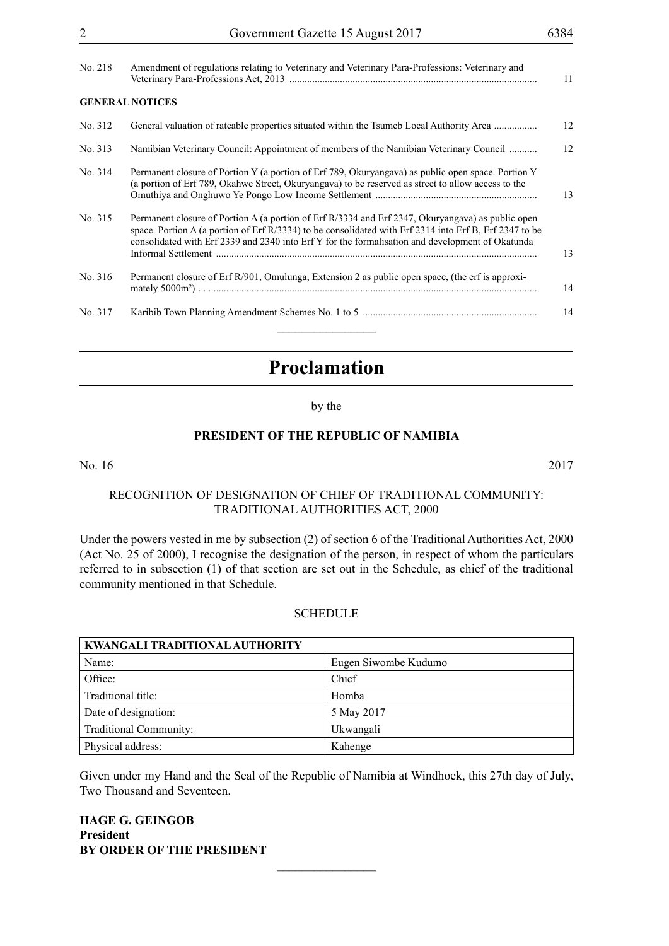| No. 218 | Amendment of regulations relating to Veterinary and Veterinary Para-Professions: Veterinary and                                                                                                                                                                                                                 | 11 |
|---------|-----------------------------------------------------------------------------------------------------------------------------------------------------------------------------------------------------------------------------------------------------------------------------------------------------------------|----|
|         | <b>GENERAL NOTICES</b>                                                                                                                                                                                                                                                                                          |    |
| No. 312 | General valuation of rateable properties situated within the Tsumeb Local Authority Area                                                                                                                                                                                                                        | 12 |
| No. 313 | Namibian Veterinary Council: Appointment of members of the Namibian Veterinary Council                                                                                                                                                                                                                          | 12 |
| No. 314 | Permanent closure of Portion Y (a portion of Erf 789, Okuryangava) as public open space. Portion Y<br>(a portion of Erf 789, Okahwe Street, Okuryangava) to be reserved as street to allow access to the                                                                                                        | 13 |
| No. 315 | Permanent closure of Portion A (a portion of Erf R/3334 and Erf 2347, Okuryangava) as public open<br>space. Portion A (a portion of Erf R/3334) to be consolidated with Erf 2314 into Erf B, Erf 2347 to be<br>consolidated with Erf 2339 and 2340 into Erf Y for the formalisation and development of Okatunda | 13 |
| No. 316 | Permanent closure of Erf R/901, Omulunga, Extension 2 as public open space, (the erf is approxi-<br>14                                                                                                                                                                                                          |    |
| No. 317 | 14                                                                                                                                                                                                                                                                                                              |    |

# **Proclamation**

#### by the

#### **PRESIDENT OF THE REPUBLIC OF NAMIBIA**

No. 16 2017

# RECOGNITION OF DESIGNATION OF CHIEF OF TRADITIONAL COMMUNITY: TRADITIONAL AUTHORITIES ACT, 2000

Under the powers vested in me by subsection (2) of section 6 of the Traditional Authorities Act, 2000 (Act No. 25 of 2000), I recognise the designation of the person, in respect of whom the particulars referred to in subsection (1) of that section are set out in the Schedule, as chief of the traditional community mentioned in that Schedule.

#### **SCHEDULE**

| KWANGALI TRADITIONAL AUTHORITY |                      |  |  |
|--------------------------------|----------------------|--|--|
| Name:                          | Eugen Siwombe Kudumo |  |  |
| Office:                        | Chief                |  |  |
| Traditional title:             | Homba                |  |  |
| Date of designation:           | 5 May 2017           |  |  |
| Traditional Community:         | Ukwangali            |  |  |
| Physical address:              | Kahenge              |  |  |

Given under my Hand and the Seal of the Republic of Namibia at Windhoek, this 27th day of July, Two Thousand and Seventeen.

 $\frac{1}{2}$ 

**HAGE G. GEINGOB President BY ORDER OF THE PRESIDENT**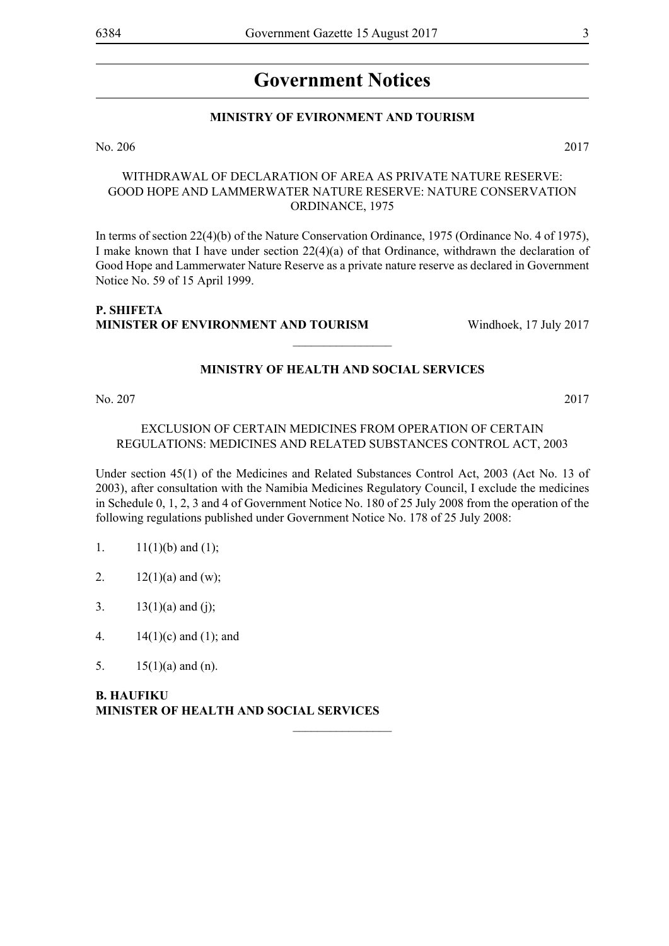# **Government Notices**

# **MINISTRY OF EVIRONMENT AND TOURISM**

No. 206 2017

#### WITHDRAWAL OF DECLARATION OF AREA AS PRIVATE NATURE RESERVE: GOOD HOPE AND LAMMERWATER NATURE RESERVE: NATURE CONSERVATION ORDINANCE, 1975

In terms of section 22(4)(b) of the Nature Conservation Ordinance, 1975 (Ordinance No. 4 of 1975), I make known that I have under section 22(4)(a) of that Ordinance, withdrawn the declaration of Good Hope and Lammerwater Nature Reserve as a private nature reserve as declared in Government Notice No. 59 of 15 April 1999.

## **P. Shifeta Minister of Environment and Tourism** Windhoek, 17 July 2017

# **MINISTRY OF HEALTH AND SOCIAL SERVICES**

 $\frac{1}{2}$ 

No. 207 2017

### EXCLUSION OF CERTAIN MEDICINES FROM OPERATION OF CERTAIN REGULATIONS: MEDICINES AND RELATED SUBSTANCES CONTROL ACT, 2003

Under section 45(1) of the Medicines and Related Substances Control Act, 2003 (Act No. 13 of 2003), after consultation with the Namibia Medicines Regulatory Council, I exclude the medicines in Schedule 0, 1, 2, 3 and 4 of Government Notice No. 180 of 25 July 2008 from the operation of the following regulations published under Government Notice No. 178 of 25 July 2008:

 $\overline{\phantom{a}}$  , where  $\overline{\phantom{a}}$ 

- 1.  $11(1)(b)$  and (1);
- 2.  $12(1)(a)$  and (w);
- 3.  $13(1)(a)$  and (j);
- 4. 14(1)(c) and (1); and
- 5.  $15(1)(a)$  and  $(n)$ .

# **B. HAUFIKU Minister of Health aNd Social Services**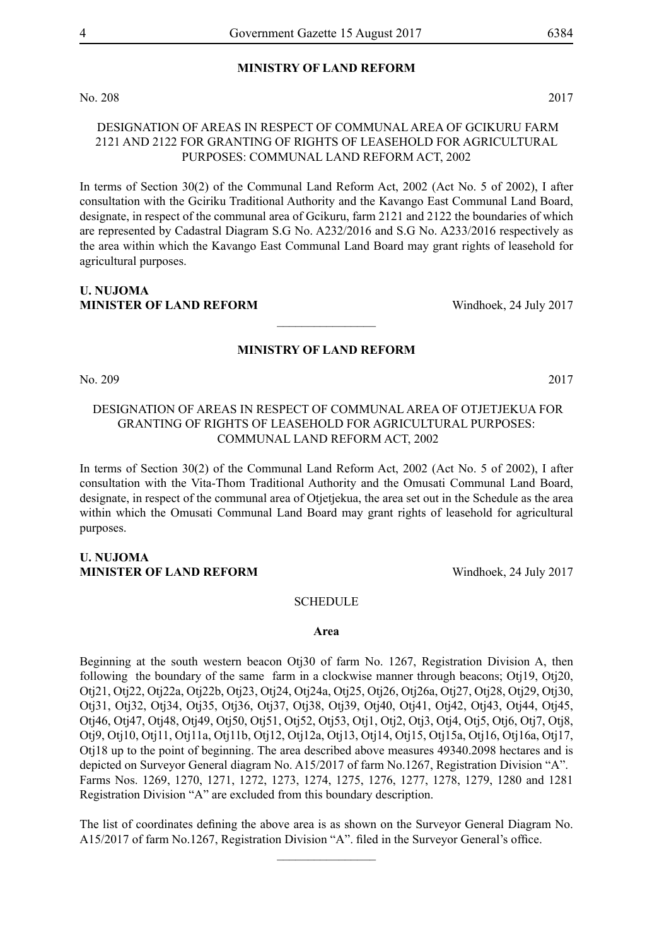#### **MINISTRY OF LAND REFORM**

No. 208 2017

#### DESIGNATION OF AREAS IN RESPECT OF COMMUNAL AREA OF GCIKURU FARM 2121 AND 2122 FOR GRANTING OF RIGHTS OF LEASEHOLD FOR AGRICULTURAL PURPOSES: COMMUNAL LAND REFORM ACT, 2002

In terms of Section 30(2) of the Communal Land Reform Act, 2002 (Act No. 5 of 2002), I after consultation with the Gciriku Traditional Authority and the Kavango East Communal Land Board, designate, in respect of the communal area of Gcikuru, farm 2121 and 2122 the boundaries of which are represented by Cadastral Diagram S.G No. A232/2016 and S.G No. A233/2016 respectively as the area within which the Kavango East Communal Land Board may grant rights of leasehold for agricultural purposes.

# **U. Nujoma MINISTER OF LAND REFORM** Windhoek, 24 July 2017

# **MINISTRY OF LAND REFORM**

 $\frac{1}{2}$ 

No. 209 2017

#### DESIGNATION OF AREAS IN RESPECT OF COMMUNAL AREA OF OTJETJEKUA FOR GRANTING OF RIGHTS OF LEASEHOLD FOR AGRICULTURAL PURPOSES: COMMUNAL LAND REFORM ACT, 2002

In terms of Section 30(2) of the Communal Land Reform Act, 2002 (Act No. 5 of 2002), I after consultation with the Vita-Thom Traditional Authority and the Omusati Communal Land Board, designate, in respect of the communal area of Otjetjekua, the area set out in the Schedule as the area within which the Omusati Communal Land Board may grant rights of leasehold for agricultural purposes.

#### **U. Nujoma MINISTER OF LAND REFORM** Windhoek, 24 July 2017

# **SCHEDULE**

#### **Area**

Beginning at the south western beacon Otj30 of farm No. 1267, Registration Division A, then following the boundary of the same farm in a clockwise manner through beacons; Otj19, Otj20, Otj21, Otj22, Otj22a, Otj22b, Otj23, Otj24, Otj24a, Otj25, Otj26, Otj26a, Otj27, Otj28, Otj29, Otj30, Otj31, Otj32, Otj34, Otj35, Otj36, Otj37, Otj38, Otj39, Otj40, Otj41, Otj42, Otj43, Otj44, Otj45, Otj46, Otj47, Otj48, Otj49, Otj50, Otj51, Otj52, Otj53, Otj1, Otj2, Otj3, Otj4, Otj5, Otj6, Otj7, Otj8, Otj9, Otj10, Otj11, Otj11a, Otj11b, Otj12, Otj12a, Otj13, Otj14, Otj15, Otj15a, Otj16, Otj16a, Otj17, Otj18 up to the point of beginning. The area described above measures 49340.2098 hectares and is depicted on Surveyor General diagram No. A15/2017 of farm No.1267, Registration Division "A". Farms Nos. 1269, 1270, 1271, 1272, 1273, 1274, 1275, 1276, 1277, 1278, 1279, 1280 and 1281 Registration Division "A" are excluded from this boundary description.

The list of coordinates defining the above area is as shown on the Surveyor General Diagram No. A15/2017 of farm No.1267, Registration Division "A". filed in the Surveyor General's office.  $\frac{1}{2}$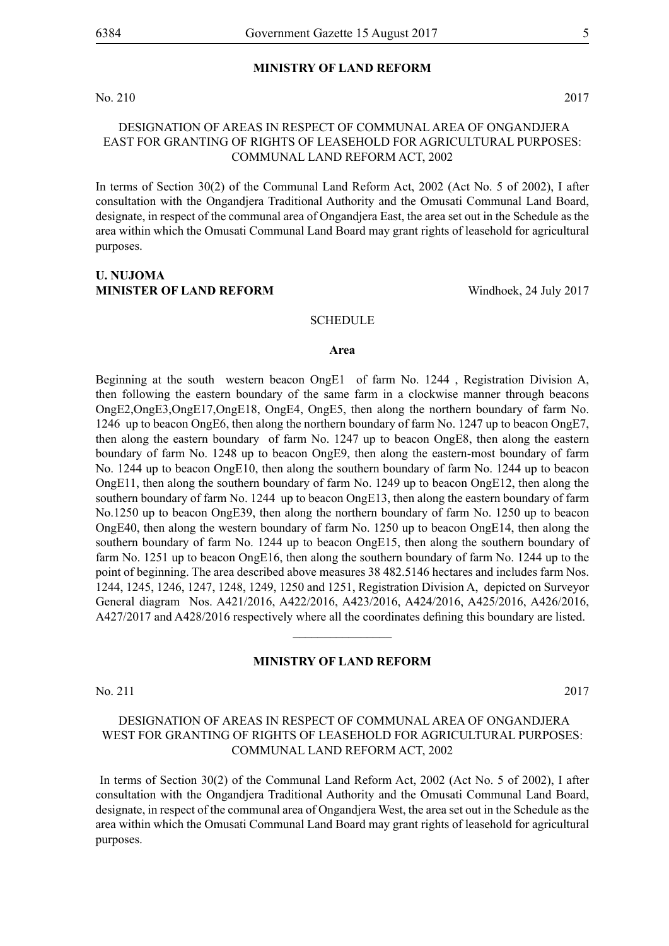#### **MINISTRY OF LAND REFORM**

#### No. 210 2017

# DESIGNATION OF AREAS IN RESPECT OF COMMUNAL AREA OF ONGANDJERA EAST FOR GRANTING OF RIGHTS OF LEASEHOLD FOR AGRICULTURAL PURPOSES: COMMUNAL LAND REFORM ACT, 2002

In terms of Section 30(2) of the Communal Land Reform Act, 2002 (Act No. 5 of 2002), I after consultation with the Ongandjera Traditional Authority and the Omusati Communal Land Board, designate, in respect of the communal area of Ongandjera East, the area set out in the Schedule as the area within which the Omusati Communal Land Board may grant rights of leasehold for agricultural purposes.

## **U. Nujoma MINISTER OF LAND REFORM** Windhoek, 24 July 2017

#### **SCHEDULE**

#### **Area**

Beginning at the south western beacon OngE1 of farm No. 1244 , Registration Division A, then following the eastern boundary of the same farm in a clockwise manner through beacons OngE2,OngE3,OngE17,OngE18, OngE4, OngE5, then along the northern boundary of farm No. 1246 up to beacon OngE6, then along the northern boundary of farm No. 1247 up to beacon OngE7, then along the eastern boundary of farm No. 1247 up to beacon OngE8, then along the eastern boundary of farm No. 1248 up to beacon OngE9, then along the eastern-most boundary of farm No. 1244 up to beacon OngE10, then along the southern boundary of farm No. 1244 up to beacon OngE11, then along the southern boundary of farm No. 1249 up to beacon OngE12, then along the southern boundary of farm No. 1244 up to beacon OngE13, then along the eastern boundary of farm No.1250 up to beacon OngE39, then along the northern boundary of farm No. 1250 up to beacon OngE40, then along the western boundary of farm No. 1250 up to beacon OngE14, then along the southern boundary of farm No. 1244 up to beacon OngE15, then along the southern boundary of farm No. 1251 up to beacon OngE16, then along the southern boundary of farm No. 1244 up to the point of beginning. The area described above measures 38 482.5146 hectares and includes farm Nos. 1244, 1245, 1246, 1247, 1248, 1249, 1250 and 1251, Registration Division A, depicted on Surveyor General diagram Nos. A421/2016, A422/2016, A423/2016, A424/2016, A425/2016, A426/2016, A427/2017 and A428/2016 respectively where all the coordinates defining this boundary are listed.

#### **MINISTRY OF LAND REFORM**

 $\overline{\phantom{a}}$  , where  $\overline{\phantom{a}}$ 

No. 211 2017

#### DESIGNATION OF AREAS IN RESPECT OF COMMUNAL AREA OF ONGANDJERA WEST FOR GRANTING OF RIGHTS OF LEASEHOLD FOR AGRICULTURAL PURPOSES: COMMUNAL LAND REFORM ACT, 2002

 In terms of Section 30(2) of the Communal Land Reform Act, 2002 (Act No. 5 of 2002), I after consultation with the Ongandjera Traditional Authority and the Omusati Communal Land Board, designate, in respect of the communal area of Ongandjera West, the area set out in the Schedule as the area within which the Omusati Communal Land Board may grant rights of leasehold for agricultural purposes.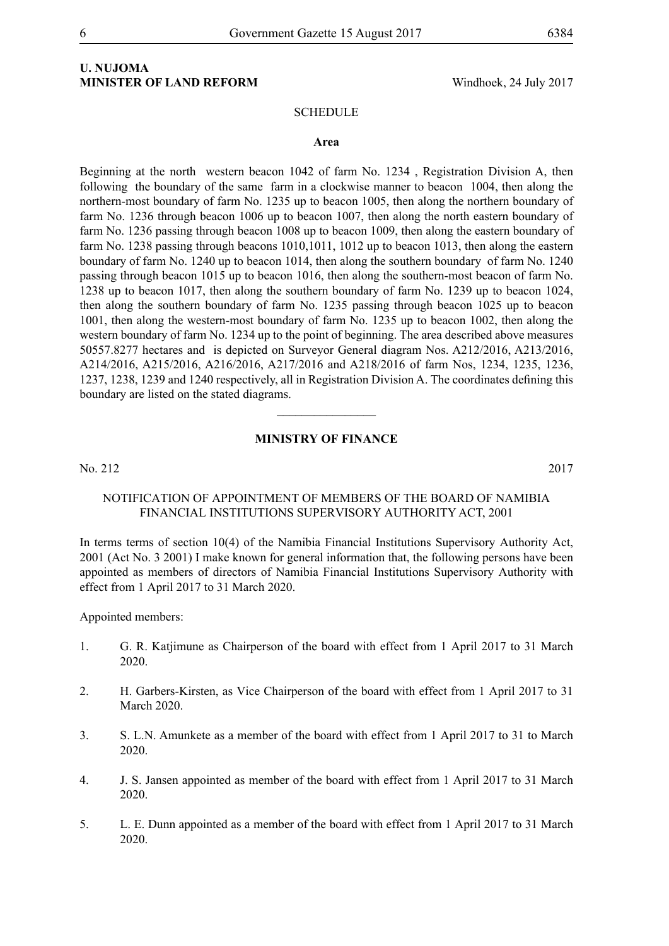#### **U. Nujoma MINISTER OF LAND REFORM** Windhoek, 24 July 2017

#### **SCHEDULE**

#### **Area**

Beginning at the north western beacon 1042 of farm No. 1234 , Registration Division A, then following the boundary of the same farm in a clockwise manner to beacon 1004, then along the northern-most boundary of farm No. 1235 up to beacon 1005, then along the northern boundary of farm No. 1236 through beacon 1006 up to beacon 1007, then along the north eastern boundary of farm No. 1236 passing through beacon 1008 up to beacon 1009, then along the eastern boundary of farm No. 1238 passing through beacons 1010,1011, 1012 up to beacon 1013, then along the eastern boundary of farm No. 1240 up to beacon 1014, then along the southern boundary of farm No. 1240 passing through beacon 1015 up to beacon 1016, then along the southern-most beacon of farm No. 1238 up to beacon 1017, then along the southern boundary of farm No. 1239 up to beacon 1024, then along the southern boundary of farm No. 1235 passing through beacon 1025 up to beacon 1001, then along the western-most boundary of farm No. 1235 up to beacon 1002, then along the western boundary of farm No. 1234 up to the point of beginning. The area described above measures 50557.8277 hectares and is depicted on Surveyor General diagram Nos. A212/2016, A213/2016, A214/2016, A215/2016, A216/2016, A217/2016 and A218/2016 of farm Nos, 1234, 1235, 1236, 1237, 1238, 1239 and 1240 respectively, all in Registration Division A. The coordinates defining this boundary are listed on the stated diagrams.

#### **MINISTRY OF FINANCE**

 $\overline{\phantom{a}}$  , where  $\overline{\phantom{a}}$ 

No. 212 2017

#### NOTIFICATION OF APPOINTMENT OF MEMBERS OF THE BOARD OF NAMIBIA FINANCIAL INSTITUTIONS SUPERVISORY AUTHORITY ACT, 2001

In terms terms of section 10(4) of the Namibia Financial Institutions Supervisory Authority Act, 2001 (Act No. 3 2001) I make known for general information that, the following persons have been appointed as members of directors of Namibia Financial Institutions Supervisory Authority with effect from 1 April 2017 to 31 March 2020.

Appointed members:

- 1. G. R. Katjimune as Chairperson of the board with effect from 1 April 2017 to 31 March 2020.
- 2. H. Garbers-Kirsten, as Vice Chairperson of the board with effect from 1 April 2017 to 31 March 2020.
- 3. S. L.N. Amunkete as a member of the board with effect from 1 April 2017 to 31 to March 2020.
- 4. J. S. Jansen appointed as member of the board with effect from 1 April 2017 to 31 March 2020.
- 5. L. E. Dunn appointed as a member of the board with effect from 1 April 2017 to 31 March 2020.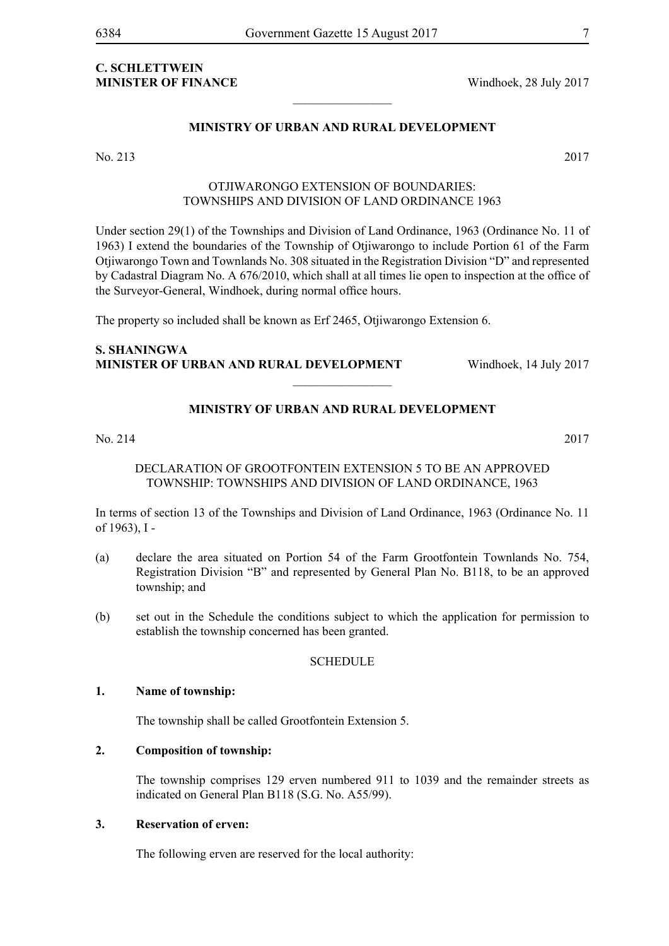# **C. SchLettwein MINISTER OF FINANCE** Windhoek, 28 July 2017

#### **MINISTRY OF URBAN AND RURAL DEVELOPMENT**

 $\frac{1}{2}$ 

No. 213 2017

# OTJIWARONGO EXTENSION OF BOUNDARIES: TownshipS and Division of Land Ordinance 1963

Under section 29(1) of the Townships and Division of Land Ordinance, 1963 (Ordinance No. 11 of 1963) I extend the boundaries of the Township of Otjiwarongo to include Portion 61 of the Farm Otjiwarongo Town and Townlands No. 308 situated in the Registration Division "D" and represented by Cadastral Diagram No. A 676/2010, which shall at all times lie open to inspection at the office of the Surveyor-General, Windhoek, during normal office hours.

The property so included shall be known as Erf 2465, Otjiwarongo Extension 6.

# **S. Shaningwa Minister of Urban and Rural Development** Windhoek, 14 July 2017

#### **MINISTRY OF URBAN AND RURAL DEVELOPMENT**

 $\frac{1}{2}$ 

No. 214 2017

#### DECLARATION OF GROOTFONTEIN EXTENSION 5 TO BE AN APPROVED TOWNSHIP: TOWNSHIPS AND DIVISION OF LAND ORDINANCE, 1963

In terms of section 13 of the Townships and Division of Land Ordinance, 1963 (Ordinance No. 11 of 1963), I -

- (a) declare the area situated on Portion 54 of the Farm Grootfontein Townlands No. 754, Registration Division "B" and represented by General Plan No. B118, to be an approved township; and
- (b) set out in the Schedule the conditions subject to which the application for permission to establish the township concerned has been granted.

#### **SCHEDULE**

#### **1. Name of township:**

The township shall be called Grootfontein Extension 5.

#### **2. Composition of township:**

The township comprises 129 erven numbered 911 to 1039 and the remainder streets as indicated on General Plan B118 (S.G. No. A55/99).

#### **3. Reservation of erven:**

The following erven are reserved for the local authority: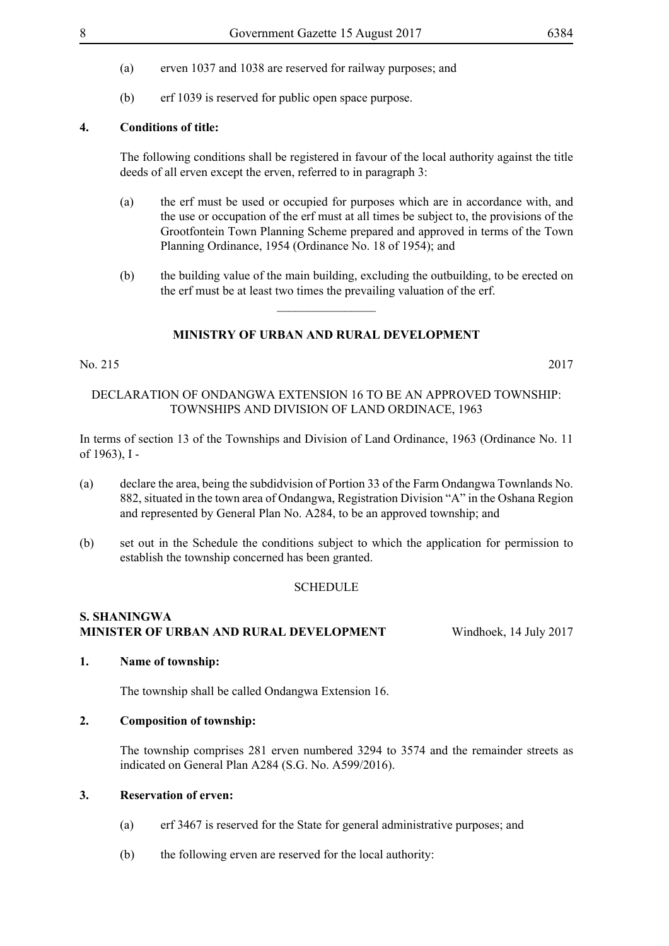- (a) erven 1037 and 1038 are reserved for railway purposes; and
- (b) erf 1039 is reserved for public open space purpose.

# **4. Conditions of title:**

The following conditions shall be registered in favour of the local authority against the title deeds of all erven except the erven, referred to in paragraph 3:

- (a) the erf must be used or occupied for purposes which are in accordance with, and the use or occupation of the erf must at all times be subject to, the provisions of the Grootfontein Town Planning Scheme prepared and approved in terms of the Town Planning Ordinance, 1954 (Ordinance No. 18 of 1954); and
- (b) the building value of the main building, excluding the outbuilding, to be erected on the erf must be at least two times the prevailing valuation of the erf.

# **MINISTRY OF URBAN AND RURAL DEVELOPMENT**

 $\overline{\phantom{a}}$  , where  $\overline{\phantom{a}}$ 

#### No. 215 2017

#### DECLARATION OF ONDANGWA EXTENSION 16 TO BE AN APPROVED TOWNSHIP: TOWNSHIPS AND DIVISION OF LAND ORDINACE, 1963

In terms of section 13 of the Townships and Division of Land Ordinance, 1963 (Ordinance No. 11 of 1963), I -

- (a) declare the area, being the subdidvision of Portion 33 of the Farm Ondangwa Townlands No. 882, situated in the town area of Ondangwa, Registration Division "A" in the Oshana Region and represented by General Plan No. A284, to be an approved township; and
- (b) set out in the Schedule the conditions subject to which the application for permission to establish the township concerned has been granted.

#### **SCHEDULE**

# **S. Shaningwa Minister of Urban and Rural Development** Windhoek, 14 July 2017

# **1. Name of township:**

The township shall be called Ondangwa Extension 16.

#### **2. Composition of township:**

The township comprises 281 erven numbered 3294 to 3574 and the remainder streets as indicated on General Plan A284 (S.G. No. A599/2016).

#### **3. Reservation of erven:**

- (a) erf 3467 is reserved for the State for general administrative purposes; and
- (b) the following erven are reserved for the local authority: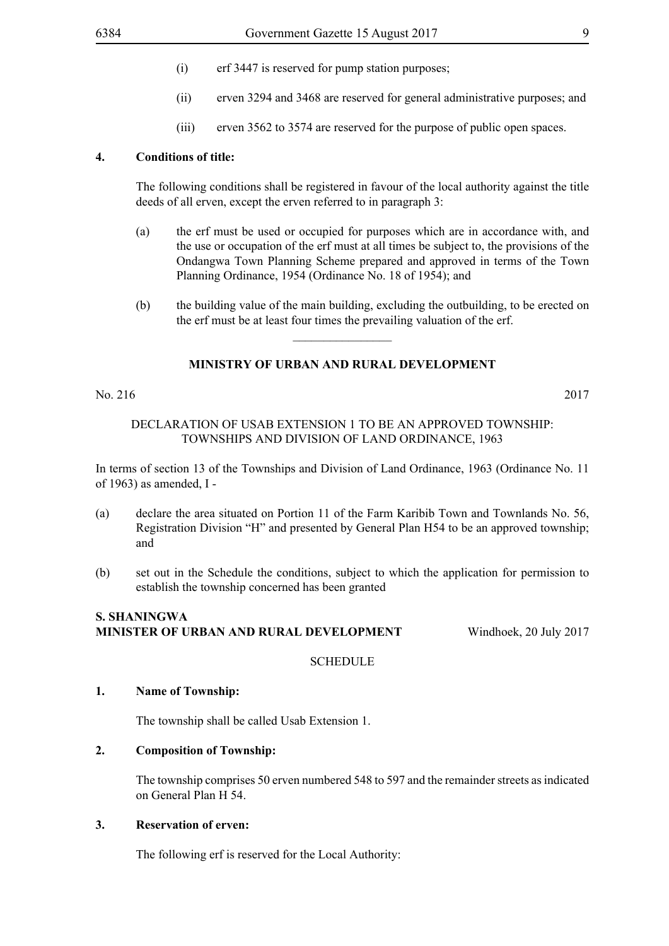- (i) erf 3447 is reserved for pump station purposes;
- (ii) erven 3294 and 3468 are reserved for general administrative purposes; and
- (iii) erven 3562 to 3574 are reserved for the purpose of public open spaces.

#### **4. Conditions of title:**

The following conditions shall be registered in favour of the local authority against the title deeds of all erven, except the erven referred to in paragraph 3:

- (a) the erf must be used or occupied for purposes which are in accordance with, and the use or occupation of the erf must at all times be subject to, the provisions of the Ondangwa Town Planning Scheme prepared and approved in terms of the Town Planning Ordinance, 1954 (Ordinance No. 18 of 1954); and
- (b) the building value of the main building, excluding the outbuilding, to be erected on the erf must be at least four times the prevailing valuation of the erf.

#### **MINISTRY OF URBAN AND RURAL DEVELOPMENT**

 $\overline{\phantom{a}}$  , where  $\overline{\phantom{a}}$ 

No. 216 2017

#### DECLARATION OF USAB EXTENSION 1 TO BE AN APPROVED TOWNSHIP: Townships and Division of Land Ordinance, 1963

In terms of section 13 of the Townships and Division of Land Ordinance, 1963 (Ordinance No. 11 of 1963) as amended, I -

- (a) declare the area situated on Portion 11 of the Farm Karibib Town and Townlands No. 56, Registration Division "H" and presented by General Plan H54 to be an approved township; and
- (b) set out in the Schedule the conditions, subject to which the application for permission to establish the township concerned has been granted

#### **S. Shaningwa Minister of Urban and Rural Development** Windhoek, 20 July 2017

#### **SCHEDULE**

#### **1. Name of Township:**

The township shall be called Usab Extension 1.

#### **2. Composition of Township:**

The township comprises 50 erven numbered 548 to 597 and the remainder streets as indicated on General Plan H 54.

#### **3. Reservation of erven:**

The following erf is reserved for the Local Authority: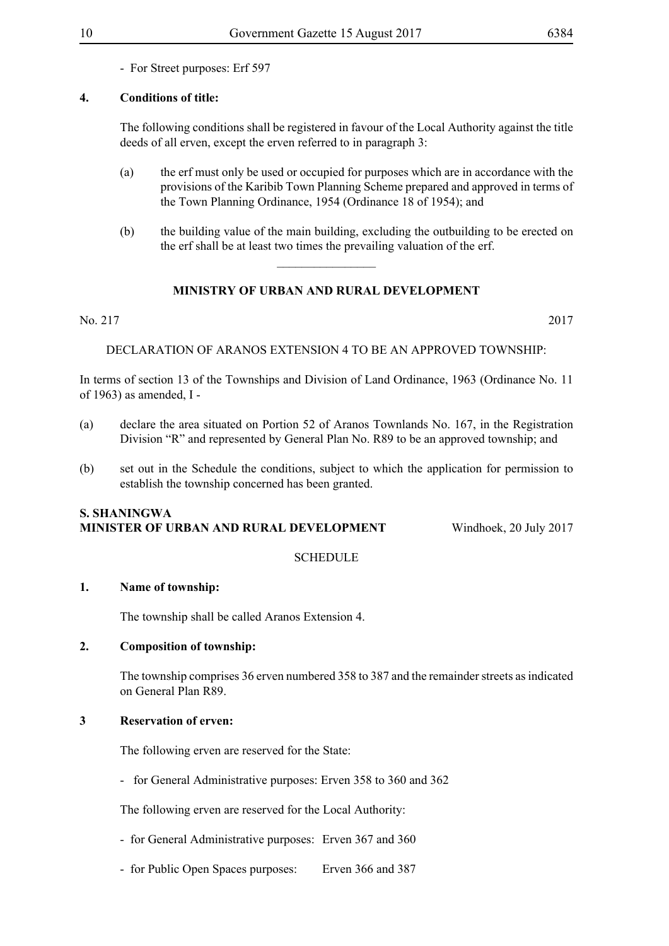- For Street purposes: Erf 597

# **4. Conditions of title:**

The following conditions shall be registered in favour of the Local Authority against the title deeds of all erven, except the erven referred to in paragraph 3:

- (a) the erf must only be used or occupied for purposes which are in accordance with the provisions of the Karibib Town Planning Scheme prepared and approved in terms of the Town Planning Ordinance, 1954 (Ordinance 18 of 1954); and
- (b) the building value of the main building, excluding the outbuilding to be erected on the erf shall be at least two times the prevailing valuation of the erf.

# **MINISTRY OF URBAN AND RURAL DEVELOPMENT**

 $\overline{\phantom{a}}$  , where  $\overline{\phantom{a}}$ 

# No. 217 2017

DECLARATION OF ARANOS EXTENSION 4 TO BE AN APPROVED TOWNSHIP:

In terms of section 13 of the Townships and Division of Land Ordinance, 1963 (Ordinance No. 11 of 1963) as amended, I -

- (a) declare the area situated on Portion 52 of Aranos Townlands No. 167, in the Registration Division "R" and represented by General Plan No. R89 to be an approved township; and
- (b) set out in the Schedule the conditions, subject to which the application for permission to establish the township concerned has been granted.

# **S. Shaningwa Minister of Urban and Rural Development** Windhoek, 20 July 2017

#### **SCHEDULE**

# **1. Name of township:**

The township shall be called Aranos Extension 4.

# **2. Composition of township:**

The township comprises 36 erven numbered 358 to 387 and the remainder streets as indicated on General Plan R89.

#### **3 Reservation of erven:**

The following erven are reserved for the State:

- for General Administrative purposes: Erven 358 to 360 and 362

The following erven are reserved for the Local Authority:

- for General Administrative purposes: Erven 367 and 360
- for Public Open Spaces purposes: Erven 366 and 387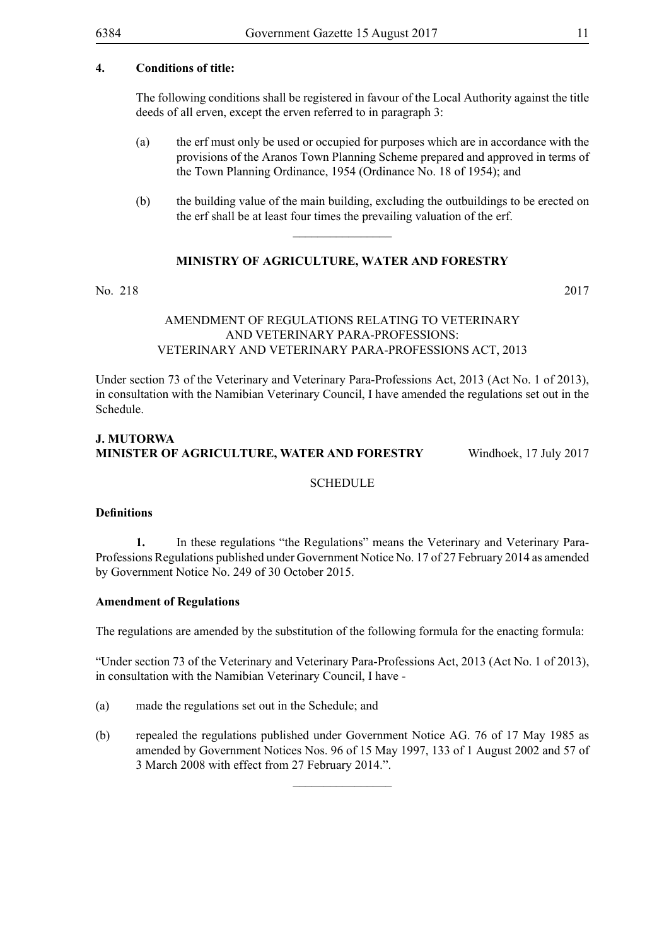### **4. Conditions of title:**

The following conditions shall be registered in favour of the Local Authority against the title deeds of all erven, except the erven referred to in paragraph 3:

- (a) the erf must only be used or occupied for purposes which are in accordance with the provisions of the Aranos Town Planning Scheme prepared and approved in terms of the Town Planning Ordinance, 1954 (Ordinance No. 18 of 1954); and
- (b) the building value of the main building, excluding the outbuildings to be erected on the erf shall be at least four times the prevailing valuation of the erf.

#### **MINISTRY OF AGRICULTURE, WATER AND FORESTRY**

 $\overline{\phantom{a}}$  , where  $\overline{\phantom{a}}$ 

No. 218 2017

#### AMENDMENT OF REGULATIONS RELATING TO VETERINARY AND VETERINARY PARA-PROFESSIONS: VETERINARY AND VETERINARY PARA-PROFESSIONS ACT, 2013

Under section 73 of the Veterinary and Veterinary Para-Professions Act, 2013 (Act No. 1 of 2013), in consultation with the Namibian Veterinary Council, I have amended the regulations set out in the Schedule.

#### **J. MUTORWA Minister of Agriculture, WATER AND FORESTRY** Windhoek, 17 July 2017

#### **SCHEDULE**

#### **Definitions**

**1.** In these regulations "the Regulations" means the Veterinary and Veterinary Para-Professions Regulations published under Government Notice No. 17 of 27 February 2014 as amended by Government Notice No. 249 of 30 October 2015.

#### **Amendment of Regulations**

The regulations are amended by the substitution of the following formula for the enacting formula:

"Under section 73 of the Veterinary and Veterinary Para-Professions Act, 2013 (Act No. 1 of 2013), in consultation with the Namibian Veterinary Council, I have -

- (a) made the regulations set out in the Schedule; and
- (b) repealed the regulations published under Government Notice AG. 76 of 17 May 1985 as amended by Government Notices Nos. 96 of 15 May 1997, 133 of 1 August 2002 and 57 of 3 March 2008 with effect from 27 February 2014.".

 $\overline{\phantom{a}}$  , where  $\overline{\phantom{a}}$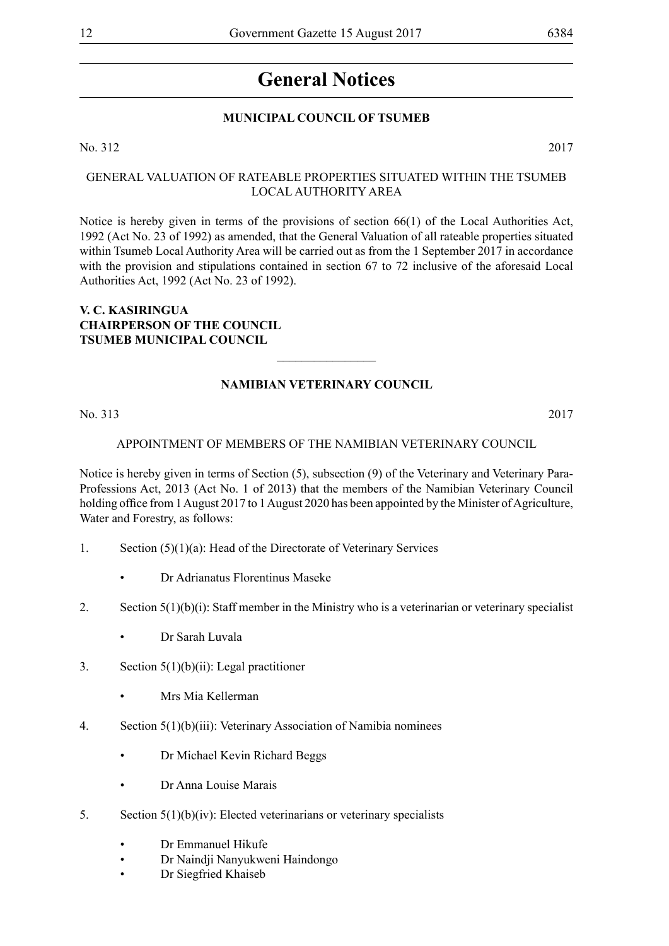# **General Notices**

# **MUNICIPAL COUNCIL OF TSUMEB**

No. 312 2017

GENERAL VALUATION OF RATEABLE PROPERTIES SITUATED WITHIN THE TSUMEB LOCAL AUTHORITY AREA

Notice is hereby given in terms of the provisions of section 66(1) of the Local Authorities Act, 1992 (Act No. 23 of 1992) as amended, that the General Valuation of all rateable properties situated within Tsumeb Local Authority Area will be carried out as from the 1 September 2017 in accordance with the provision and stipulations contained in section 67 to 72 inclusive of the aforesaid Local Authorities Act, 1992 (Act No. 23 of 1992).

# **V. C. KASIRINGUA CHAIRPERSON OF THE COUNCIL TSUMEB MUNICIPAL COUNCIL**

# **NAMIBIAN VETERINARY COUNCIL**

 $\frac{1}{2}$ 

No. 313 2017

Appointment of members of the Namibian Veterinary Council

Notice is hereby given in terms of Section (5), subsection (9) of the Veterinary and Veterinary Para-Professions Act, 2013 (Act No. 1 of 2013) that the members of the Namibian Veterinary Council holding office from 1 August 2017 to 1 August 2020 has been appointed by the Minister of Agriculture, Water and Forestry, as follows:

- 1. Section (5)(1)(a): Head of the Directorate of Veterinary Services
	- Dr Adrianatus Florentinus Maseke
- 2. Section  $5(1)(b)(i)$ : Staff member in the Ministry who is a veterinarian or veterinary specialist
	- Dr Sarah Luvala
- 3. Section 5(1)(b)(ii): Legal practitioner
	- Mrs Mia Kellerman
- 4. Section 5(1)(b)(iii): Veterinary Association of Namibia nominees
	- Dr Michael Kevin Richard Beggs
	- Dr Anna Louise Marais
- 5. Section  $5(1)(b)(iv)$ : Elected veterinarians or veterinary specialists
	- Dr Emmanuel Hikufe
	- Dr Naindji Nanyukweni Haindongo
	- Dr Siegfried Khaiseb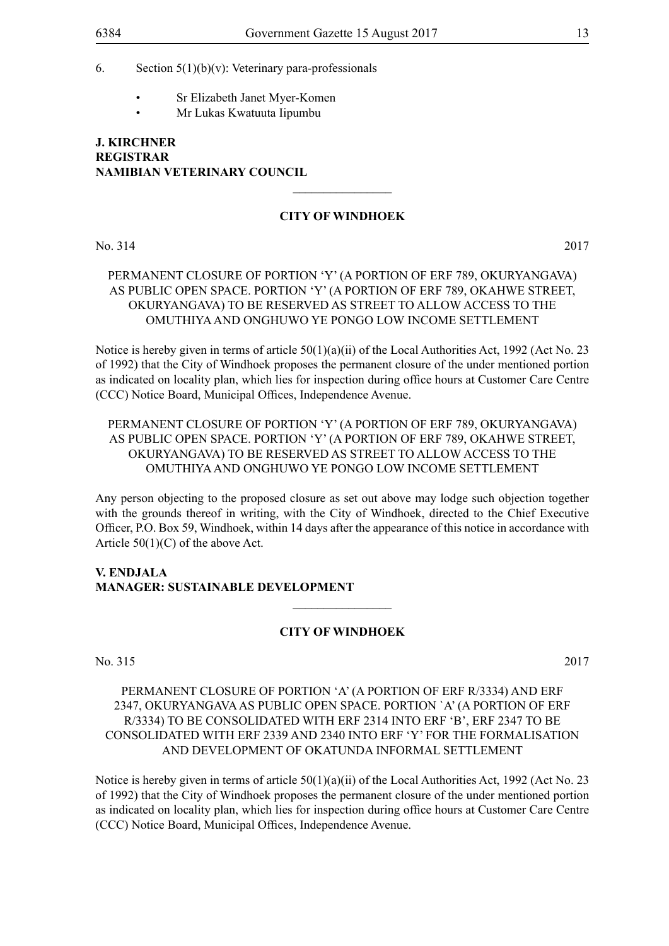#### 6. Section  $5(1)(b)(v)$ : Veterinary para-professionals

- Sr Elizabeth Janet Myer-Komen
- Mr Lukas Kwatuuta Iipumbu

# **J. Kirchner REGISTRAR NAMIBIAN VETERINARY COUNCIL**

#### **CITY OF WINDHOEK**

 $\overline{\phantom{a}}$  , where  $\overline{\phantom{a}}$ 

No. 314 2017

# PERMANENT CLOSURE OF PORTION 'Y' (A PORTION OF ERF 789, OKURYANGAVA) AS PUBLIC OPEN SPACE. PORTION 'Y' (A PORTION OF ERF 789, OKAHWE STREET, OKURYANGAVA) TO BE RESERVED AS STREET TO ALLOW ACCESS TO THE OMUTHIYA AND ONGHUWO YE PONGO LOW INCOME SETTLEMENT

Notice is hereby given in terms of article  $50(1)(a)(ii)$  of the Local Authorities Act, 1992 (Act No. 23) of 1992) that the City of Windhoek proposes the permanent closure of the under mentioned portion as indicated on locality plan, which lies for inspection during office hours at Customer Care Centre (CCC) Notice Board, Municipal Offices, Independence Avenue.

PERMANENT CLOSURE OF PORTION 'Y' (A PORTION OF ERF 789, OKURYANGAVA) AS PUBLIC OPEN SPACE. PORTION 'Y' (A PORTION OF ERF 789, OKAHWE STREET, OKURYANGAVA) TO BE RESERVED AS STREET TO ALLOW ACCESS TO THE OMUTHIYA AND ONGHUWO YE PONGO LOW INCOME SETTLEMENT

Any person objecting to the proposed closure as set out above may lodge such objection together with the grounds thereof in writing, with the City of Windhoek, directed to the Chief Executive Officer, P.O. Box 59, Windhoek, within 14 days after the appearance of this notice in accordance with Article  $50(1)(C)$  of the above Act.

# **V. ENDJALA MANAGER: SUSTAINABLE DEVELOPMENT**

#### **CITY OF WINDHOEK**

 $\overline{\phantom{a}}$  , where  $\overline{\phantom{a}}$ 

No. 315 2017

#### PERMANENT CLOSURE OF PORTION 'A' (A PORTION OF ERF R/3334) AND ERF 2347, OKURYANGAVA AS PUBLIC OPEN SPACE. PORTION `A' (A PORTION OF ERF R/3334) TO BE CONSOLIDATED WITH ERF 2314 INTO ERF 'B', ERF 2347 TO BE CONSOLIDATED WITH ERF 2339 AND 2340 INTO ERF 'Y' FOR THE FORMALISATION AND DEVELOPMENT OF OKATUNDA INFORMAL SETTLEMENT

Notice is hereby given in terms of article 50(1)(a)(ii) of the Local Authorities Act, 1992 (Act No. 23 of 1992) that the City of Windhoek proposes the permanent closure of the under mentioned portion as indicated on locality plan, which lies for inspection during office hours at Customer Care Centre (CCC) Notice Board, Municipal Offices, Independence Avenue.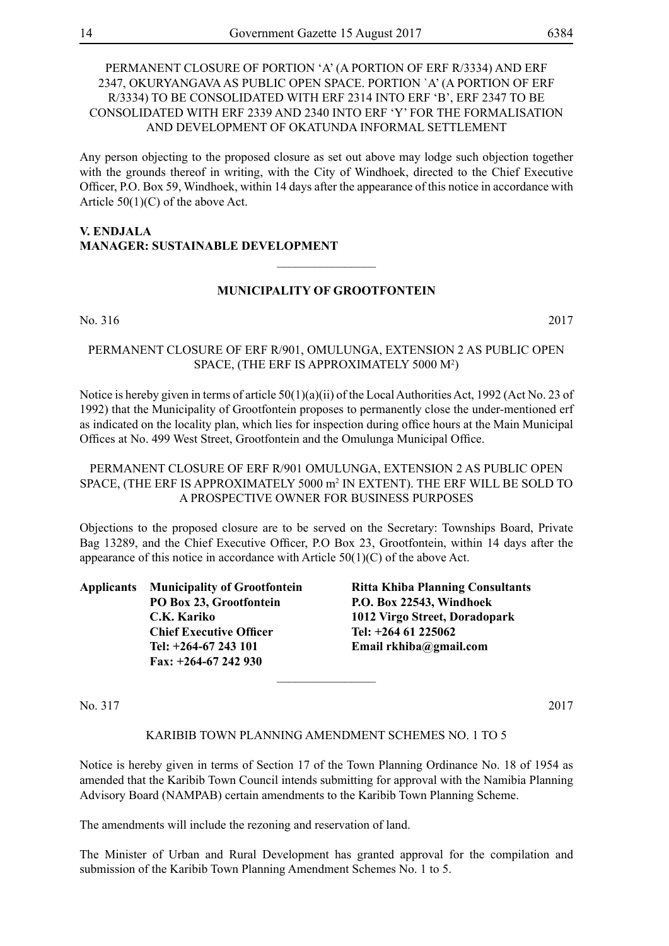# PERMANENT CLOSURE OF PORTION 'A' (A PORTION OF ERF R/3334) AND ERF 2347, OKURYANGAVA AS PUBLIC OPEN SPACE. PORTION `A' (A PORTION OF ERF R/3334) TO BE CONSOLIDATED WITH ERF 2314 INTO ERF 'B', ERF 2347 TO BE CONSOLIDATED WITH ERF 2339 AND 2340 INTO ERF 'Y' FOR THE FORMALISATION AND DEVELOPMENT OF OKATUNDA INFORMAL SETTLEMENT

Any person objecting to the proposed closure as set out above may lodge such objection together with the grounds thereof in writing, with the City of Windhoek, directed to the Chief Executive Officer, P.O. Box 59, Windhoek, within 14 days after the appearance of this notice in accordance with Article 50(1)(C) of the above Act.

# **V. ENDJALA MANAGER: SUSTAINABLE DEVELOPMENT**

# **MUNICIPALITY OF GROOTFONTEIN**

 $\overline{\phantom{a}}$  , where  $\overline{\phantom{a}}$ 

No. 316 2017

# PERMANENT CLOSURE OF ERF R/901, OMULUNGA, EXTENSION 2 AS PUBLIC OPEN SPACE, (THE ERF IS APPROXIMATELY 5000 M<sup>2</sup>)

Notice is hereby given in terms of article 50(1)(a)(ii) of the Local Authorities Act, 1992 (Act No. 23 of 1992) that the Municipality of Grootfontein proposes to permanently close the under-mentioned erf as indicated on the locality plan, which lies for inspection during office hours at the Main Municipal Offices at No. 499 West Street, Grootfontein and the Omulunga Municipal Office.

PERMANENT CLOSURE OF ERF R/901 OMULUNGA, EXTENSION 2 AS PUBLIC OPEN SPACE, (THE ERF IS APPROXIMATELY 5000 m<sup>2</sup> IN EXTENT). THE ERF WILL BE SOLD TO A PROSPECTIVE OWNER FOR BUSINESS PURPOSES

Objections to the proposed closure are to be served on the Secretary: Townships Board, Private Bag 13289, and the Chief Executive Officer, P.O Box 23, Grootfontein, within 14 days after the appearance of this notice in accordance with Article 50(1)(C) of the above Act.

**Applicants Municipality of Grootfontein Ritta Khiba Planning Consultants PO Box 23, Grootfontein P.O. Box 22543, Windhoek Chief Executive Officer Tel: +264 61 225062 Tel: +264-67 243 101 Email rkhiba@gmail.com Fax: +264-67 242 930**

**C.K. Kariko 1012 Virgo Street, Doradopark**

No. 317 2017

#### KARIBIB TOWN PLANNING AMENDMENT SCHEMES NO. 1 TO 5

 $\overline{\phantom{a}}$  , where  $\overline{\phantom{a}}$ 

Notice is hereby given in terms of Section 17 of the Town Planning Ordinance No. 18 of 1954 as amended that the Karibib Town Council intends submitting for approval with the Namibia Planning Advisory Board (NAMPAB) certain amendments to the Karibib Town Planning Scheme.

The amendments will include the rezoning and reservation of land.

The Minister of Urban and Rural Development has granted approval for the compilation and submission of the Karibib Town Planning Amendment Schemes No. 1 to 5.